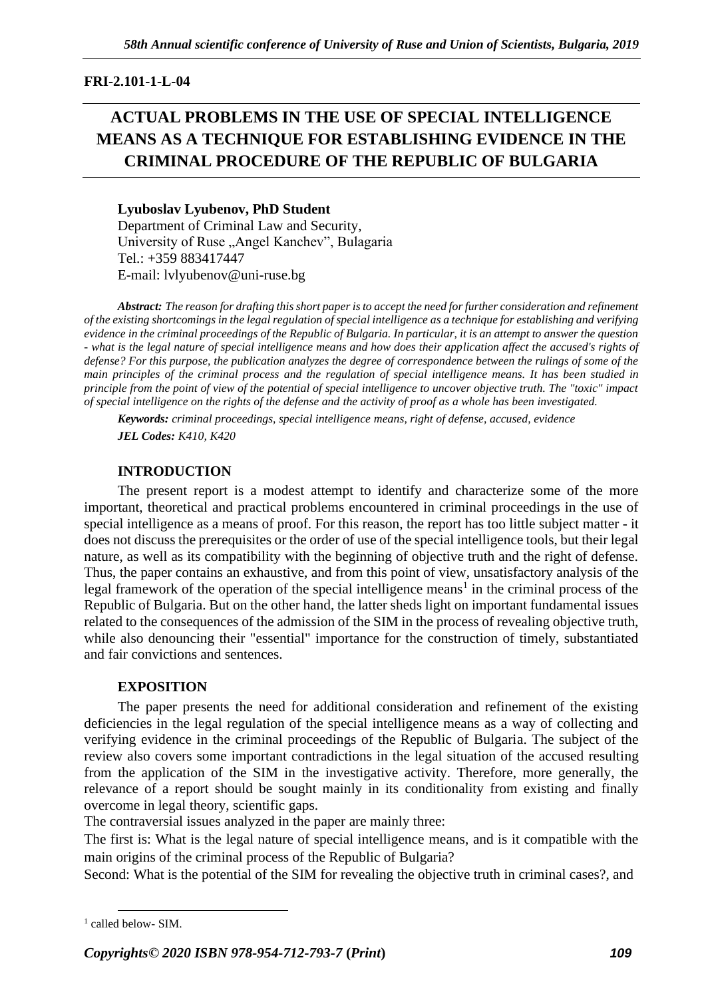## **FRI-2.101-1-L-04**

# **ACTUAL PROBLEMS IN THE USE OF SPECIAL INTELLIGENCE MEANS AS A TECHNIQUE FOR ESTABLISHING EVIDENCE IN THE CRIMINAL PROCEDURE OF THE REPUBLIC OF BULGARIA**

#### **Lyuboslav Lyubenov, PhD Student** Department of Criminal Law and Security,

University of Ruse "Angel Kanchev", Bulagaria Tel.: +359 883417447 E-mail: lvlyubenov@uni-ruse.bg

*Abstract: The reason for drafting this short paper is to accept the need for further consideration and refinement of the existing shortcomings in the legal regulation of special intelligence as a technique for establishing and verifying evidence in the criminal proceedings of the Republic of Bulgaria. In particular, it is an attempt to answer the question - what is the legal nature of special intelligence means and how does their application affect the accused's rights of defense? For this purpose, the publication analyzes the degree of correspondence between the rulings of some of the main principles of the criminal process and the regulation of special intelligence means. It has been studied in principle from the point of view of the potential of special intelligence to uncover objective truth. The "toxic" impact of special intelligence on the rights of the defense and the activity of proof as a whole has been investigated.*

*Keywords: criminal proceedings, special intelligence means, right of defense, accused, evidence JEL Codes: K410, K420*

## **INTRODUCTION**

The present report is a modest attempt to identify and characterize some of the more important, theoretical and practical problems encountered in criminal proceedings in the use of special intelligence as a means of proof. For this reason, the report has too little subject matter - it does not discuss the prerequisites or the order of use of the special intelligence tools, but their legal nature, as well as its compatibility with the beginning of objective truth and the right of defense. Thus, the paper contains an exhaustive, and from this point of view, unsatisfactory analysis of the legal framework of the operation of the special intelligence means<sup>1</sup> in the criminal process of the Republic of Bulgaria. But on the other hand, the latter sheds light on important fundamental issues related to the consequences of the admission of the SIM in the process of revealing objective truth, while also denouncing their "essential" importance for the construction of timely, substantiated and fair convictions and sentences.

#### **EXPOSITION**

The paper presents the need for additional consideration and refinement of the existing deficiencies in the legal regulation of the special intelligence means as a way of collecting and verifying evidence in the criminal proceedings of the Republic of Bulgaria. The subject of the review also covers some important contradictions in the legal situation of the accused resulting from the application of the SIM in the investigative activity. Therefore, more generally, the relevance of a report should be sought mainly in its conditionality from existing and finally overcome in legal theory, scientific gaps.

The contraversial issues analyzed in the paper are mainly three:

The first is: What is the legal nature of special intelligence means, and is it compatible with the main origins of the criminal process of the Republic of Bulgaria?

Second: What is the potential of the SIM for revealing the objective truth in criminal cases?, and

*Copyrights© 2020 ISBN 978-954-712-793-7* **(***Print***)** *109*

<sup>&</sup>lt;sup>1</sup> called below- SIM.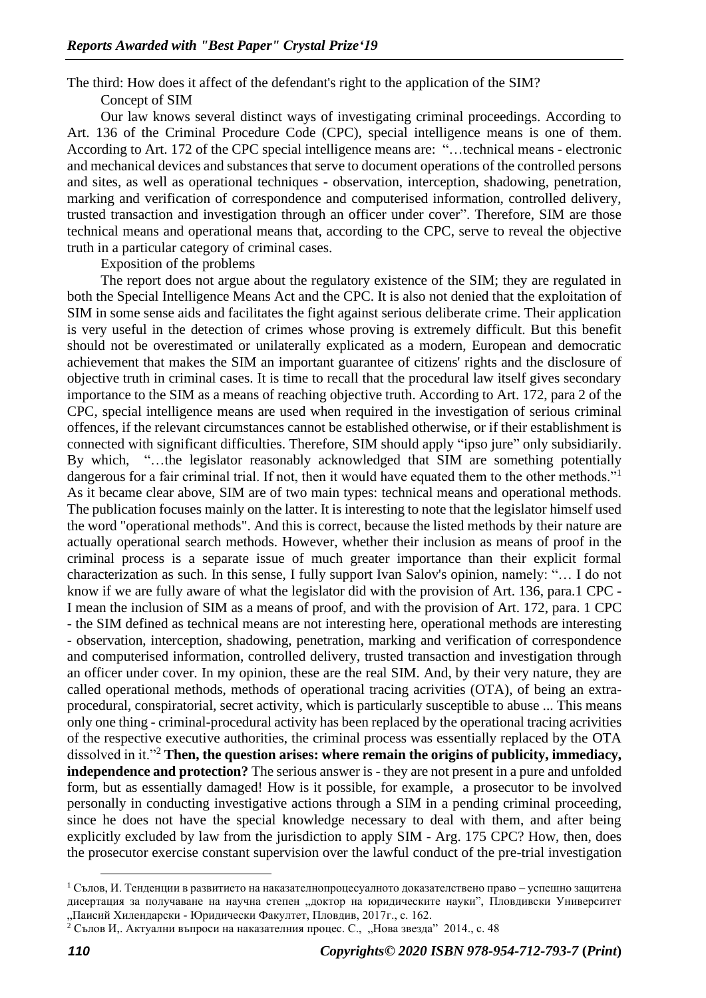The third: How does it affect of the defendant's right to the application of the SIM?

Concept of SIM

Our law knows several distinct ways of investigating criminal proceedings. According to Art. 136 of the Criminal Procedure Code (CPC), special intelligence means is one of them. According to Art. 172 of the CPC special intelligence means are: "…technical means - electronic and mechanical devices and substances that serve to document operations of the controlled persons and sites, as well as operational techniques - observation, interception, shadowing, penetration, marking and verification of correspondence and computerised information, controlled delivery, trusted transaction and investigation through an officer under cover". Therefore, SIM are those technical means and operational means that, according to the CPC, serve to reveal the objective truth in a particular category of criminal cases.

Exposition of the problems

The report does not argue about the regulatory existence of the SIM; they are regulated in both the Special Intelligence Means Act and the CPC. It is also not denied that the exploitation of SIM in some sense aids and facilitates the fight against serious deliberate crime. Their application is very useful in the detection of crimes whose proving is extremely difficult. But this benefit should not be overestimated or unilaterally explicated as a modern, European and democratic achievement that makes the SIM an important guarantee of citizens' rights and the disclosure of objective truth in criminal cases. It is time to recall that the procedural law itself gives secondary importance to the SIM as a means of reaching objective truth. According to Art. 172, para 2 of the CPC, special intelligence means are used when required in the investigation of serious criminal offences, if the relevant circumstances cannot be established otherwise, or if their establishment is connected with significant difficulties. Therefore, SIM should apply "ipso jure" only subsidiarily. By which, "…the legislator reasonably acknowledged that SIM are something potentially dangerous for a fair criminal trial. If not, then it would have equated them to the other methods."<sup>1</sup> As it became clear above, SIM are of two main types: technical means and operational methods. The publication focuses mainly on the latter. It is interesting to note that the legislator himself used the word "operational methods". And this is correct, because the listed methods by their nature are actually operational search methods. However, whether their inclusion as means of proof in the criminal process is a separate issue of much greater importance than their explicit formal characterization as such. In this sense, I fully support Ivan Salov's opinion, namely: "… I do not know if we are fully aware of what the legislator did with the provision of Art. 136, para.1 CPC - I mean the inclusion of SIM as a means of proof, and with the provision of Art. 172, para. 1 CPC - the SIM defined as technical means are not interesting here, operational methods are interesting - observation, interception, shadowing, penetration, marking and verification of correspondence and computerised information, controlled delivery, trusted transaction and investigation through an officer under cover. In my opinion, these are the real SIM. And, by their very nature, they are called operational methods, methods of operational tracing acrivities (OTA), of being an extraprocedural, conspiratorial, secret activity, which is particularly susceptible to abuse ... This means only one thing - criminal-procedural activity has been replaced by the operational tracing acrivities of the respective executive authorities, the criminal process was essentially replaced by the OTA dissolved in it."<sup>2</sup> **Then, the question arises: where remain the origins of publicity, immediacy, independence and protection?** The serious answer is - they are not present in a pure and unfolded form, but as essentially damaged! How is it possible, for example, a prosecutor to be involved personally in conducting investigative actions through a SIM in a pending criminal proceeding, since he does not have the special knowledge necessary to deal with them, and after being explicitly excluded by law from the jurisdiction to apply SIM - Arg. 175 CPC? How, then, does the prosecutor exercise constant supervision over the lawful conduct of the pre-trial investigation

 $1$  Сълов, И. Тенденции в развитието на наказателнопроцесуалното доказателствено право – успешно защитена дисертация за получаване на научна степен "доктор на юридическите науки", Пловдивски Университет "Паисий Хилендарски - Юридически Факултет, Пловдив, 2017г., с. 162.

<sup>&</sup>lt;sup>2</sup> Сълов И,. Актуални въпроси на наказателния процес. С., "Нова звезда" 2014., с. 48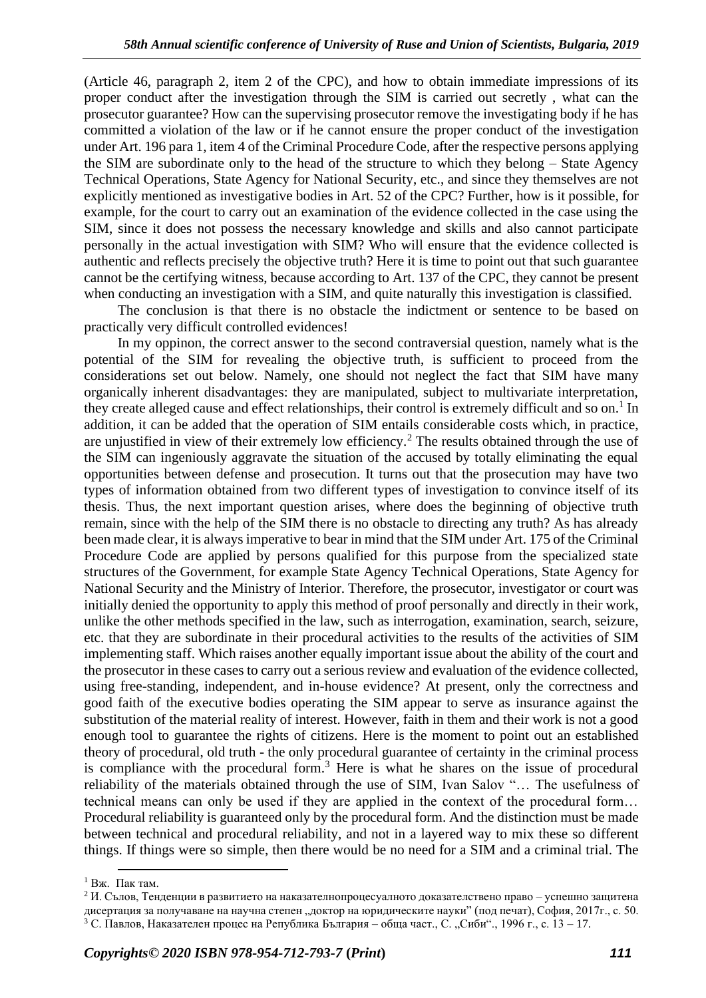(Article 46, paragraph 2, item 2 of the CPC), and how to obtain immediate impressions of its proper conduct after the investigation through the SIM is carried out secretly , what can the prosecutor guarantee? How can the supervising prosecutor remove the investigating body if he has committed a violation of the law or if he cannot ensure the proper conduct of the investigation under Art. 196 para 1, item 4 of the Criminal Procedure Code, after the respective persons applying the SIM are subordinate only to the head of the structure to which they belong – State Agency Technical Operations, State Agency for National Security, etc., and since they themselves are not explicitly mentioned as investigative bodies in Art. 52 of the CPC? Further, how is it possible, for example, for the court to carry out an examination of the evidence collected in the case using the SIM, since it does not possess the necessary knowledge and skills and also cannot participate personally in the actual investigation with SIM? Who will ensure that the evidence collected is authentic and reflects precisely the objective truth? Here it is time to point out that such guarantee cannot be the certifying witness, because according to Art. 137 of the CPC, they cannot be present when conducting an investigation with a SIM, and quite naturally this investigation is classified.

The conclusion is that there is no obstacle the indictment or sentence to be based on practically very difficult controlled evidences!

In my oppinon, the correct answer to the second contraversial question, namely what is the potential of the SIM for revealing the objective truth, is sufficient to proceed from the considerations set out below. Namely, one should not neglect the fact that SIM have many organically inherent disadvantages: they are manipulated, subject to multivariate interpretation, they create alleged cause and effect relationships, their control is extremely difficult and so on.<sup>1</sup> In addition, it can be added that the operation of SIM entails considerable costs which, in practice, are unjustified in view of their extremely low efficiency.<sup>2</sup> The results obtained through the use of the SIM can ingeniously aggravate the situation of the accused by totally eliminating the equal opportunities between defense and prosecution. It turns out that the prosecution may have two types of information obtained from two different types of investigation to convince itself of its thesis. Thus, the next important question arises, where does the beginning of objective truth remain, since with the help of the SIM there is no obstacle to directing any truth? As has already been made clear, it is always imperative to bear in mind that the SIM under Art. 175 of the Criminal Procedure Code are applied by persons qualified for this purpose from the specialized state structures of the Government, for example State Agency Technical Operations, State Agency for National Security and the Ministry of Interior. Therefore, the prosecutor, investigator or court was initially denied the opportunity to apply this method of proof personally and directly in their work, unlike the other methods specified in the law, such as interrogation, examination, search, seizure, etc. that they are subordinate in their procedural activities to the results of the activities of SIM implementing staff. Which raises another equally important issue about the ability of the court and the prosecutor in these cases to carry out a serious review and evaluation of the evidence collected, using free-standing, independent, and in-house evidence? At present, only the correctness and good faith of the executive bodies operating the SIM appear to serve as insurance against the substitution of the material reality of interest. However, faith in them and their work is not a good enough tool to guarantee the rights of citizens. Here is the moment to point out an established theory of procedural, old truth - the only procedural guarantee of certainty in the criminal process is compliance with the procedural form.<sup>3</sup> Here is what he shares on the issue of procedural reliability of the materials obtained through the use of SIM, Ivan Salov "… The usefulness of technical means can only be used if they are applied in the context of the procedural form… Procedural reliability is guaranteed only by the procedural form. And the distinction must be made between technical and procedural reliability, and not in a layered way to mix these so different things. If things were so simple, then there would be no need for a SIM and a criminal trial. The

 $<sup>1</sup>$  Вж. Пак там.</sup>

<sup>&</sup>lt;sup>2</sup> И. Сълов, Тенденции в развитието на наказателнопроцесуалното доказателствено право – успешно защитена дисертация за получаване на научна степен "доктор на юридическите науки" (под печат), София, 2017г., с. 50. <sup>3</sup> С. Павлов, Наказателен процес на Република България – обща част., С. "Сиби"., 1996 г., с. 13 – 17.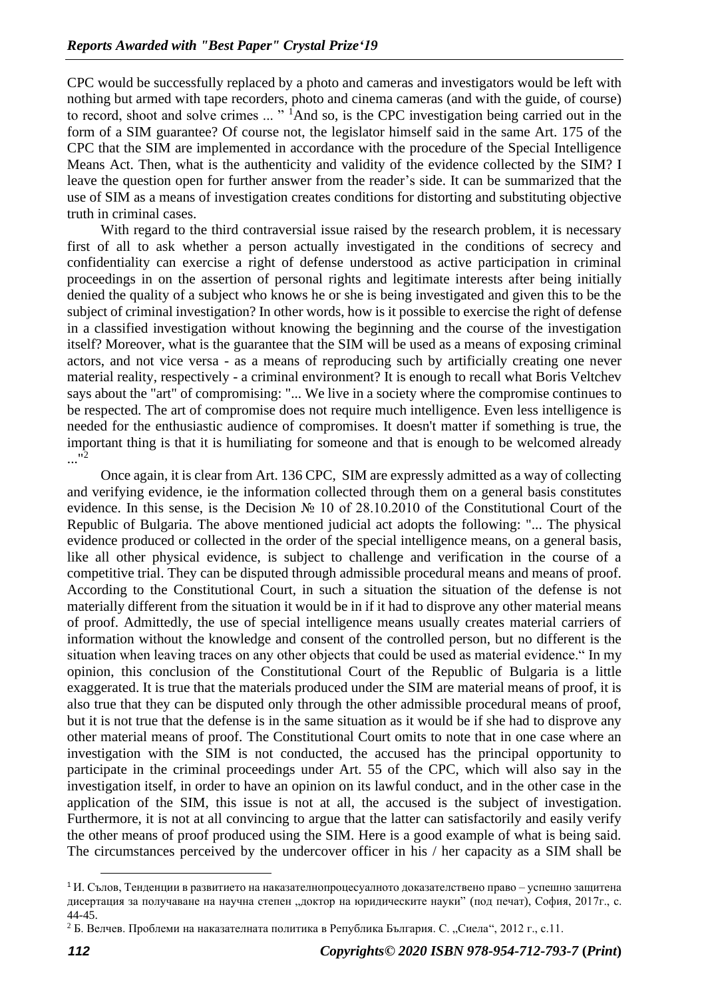CPC would be successfully replaced by a photo and cameras and investigators would be left with nothing but armed with tape recorders, photo and cinema cameras (and with the guide, of course) to record, shoot and solve crimes ... "<sup>1</sup>And so, is the CPC investigation being carried out in the form of a SIM guarantee? Of course not, the legislator himself said in the same Art. 175 of the CPC that the SIM are implemented in accordance with the procedure of the Special Intelligence Means Act. Then, what is the authenticity and validity of the evidence collected by the SIM? I leave the question open for further answer from the reader's side. It can be summarized that the use of SIM as a means of investigation creates conditions for distorting and substituting objective truth in criminal cases.

With regard to the third contraversial issue raised by the research problem, it is necessary first of all to ask whether a person actually investigated in the conditions of secrecy and confidentiality can exercise a right of defense understood as active participation in criminal proceedings in on the assertion of personal rights and legitimate interests after being initially denied the quality of a subject who knows he or she is being investigated and given this to be the subject of criminal investigation? In other words, how is it possible to exercise the right of defense in a classified investigation without knowing the beginning and the course of the investigation itself? Moreover, what is the guarantee that the SIM will be used as a means of exposing criminal actors, and not vice versa - as a means of reproducing such by artificially creating one never material reality, respectively - a criminal environment? It is enough to recall what Boris Veltchev says about the "art" of compromising: "... We live in a society where the compromise continues to be respected. The art of compromise does not require much intelligence. Even less intelligence is needed for the enthusiastic audience of compromises. It doesn't matter if something is true, the important thing is that it is humiliating for someone and that is enough to be welcomed already  $\cdot$ ..."<sup>2</sup>

Once again, it is clear from Art. 136 CPC, SIM are expressly admitted as a way of collecting and verifying evidence, ie the information collected through them on a general basis constitutes evidence. In this sense, is the Decision № 10 of 28.10.2010 of the Constitutional Court of the Republic of Bulgaria. The above mentioned judicial act adopts the following: "... The physical evidence produced or collected in the order of the special intelligence means, on a general basis, like all other physical evidence, is subject to challenge and verification in the course of a competitive trial. They can be disputed through admissible procedural means and means of proof. According to the Constitutional Court, in such a situation the situation of the defense is not materially different from the situation it would be in if it had to disprove any other material means of proof. Admittedly, the use of special intelligence means usually creates material carriers of information without the knowledge and consent of the controlled person, but no different is the situation when leaving traces on any other objects that could be used as material evidence." In my opinion, this conclusion of the Constitutional Court of the Republic of Bulgaria is a little exaggerated. It is true that the materials produced under the SIM are material means of proof, it is also true that they can be disputed only through the other admissible procedural means of proof, but it is not true that the defense is in the same situation as it would be if she had to disprove any other material means of proof. The Constitutional Court omits to note that in one case where an investigation with the SIM is not conducted, the accused has the principal opportunity to participate in the criminal proceedings under Art. 55 of the CPC, which will also say in the investigation itself, in order to have an opinion on its lawful conduct, and in the other case in the application of the SIM, this issue is not at all, the accused is the subject of investigation. Furthermore, it is not at all convincing to argue that the latter can satisfactorily and easily verify the other means of proof produced using the SIM. Here is a good example of what is being said. The circumstances perceived by the undercover officer in his / her capacity as a SIM shall be

 $1$ И. Сълов, Тенденции в развитието на наказателнопроцесуалното доказателствено право – успешно защитена дисертация за получаване на научна степен "доктор на юридическите науки" (под печат), София, 2017г., с. 44-45.

<sup>&</sup>lt;sup>2</sup> Б. Велчев. Проблеми на наказателната политика в Република България. С. "Сиела", 2012 г., с.11.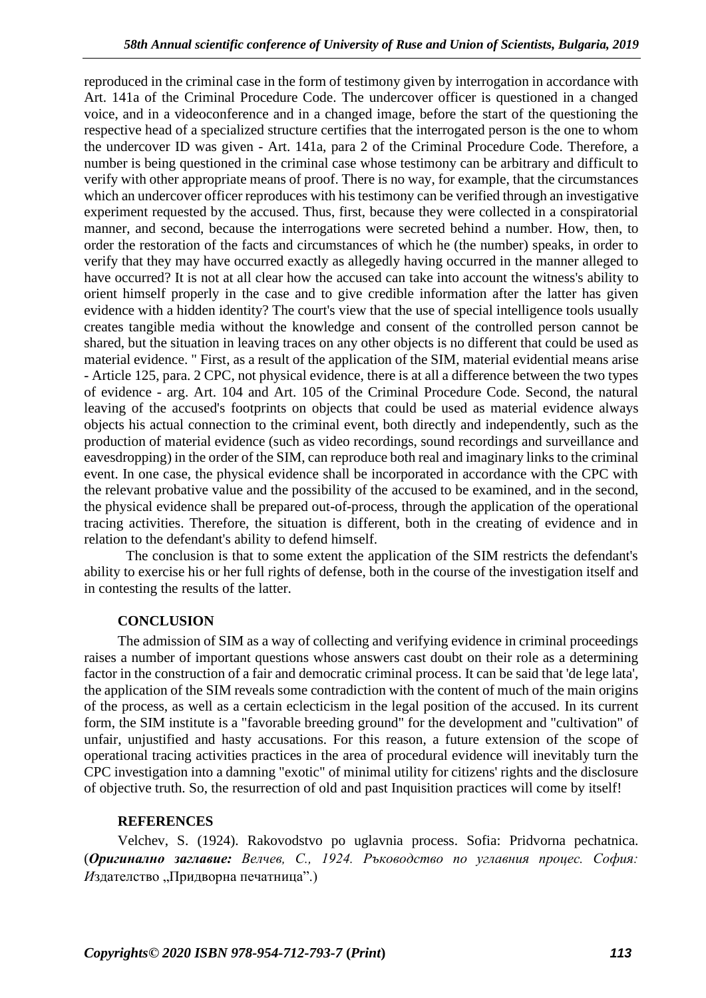reproduced in the criminal case in the form of testimony given by interrogation in accordance with Art. 141a of the Criminal Procedure Code. The undercover officer is questioned in a changed voice, and in a videoconference and in a changed image, before the start of the questioning the respective head of a specialized structure certifies that the interrogated person is the one to whom the undercover ID was given - Art. 141a, para 2 of the Criminal Procedure Code. Therefore, a number is being questioned in the criminal case whose testimony can be arbitrary and difficult to verify with other appropriate means of proof. There is no way, for example, that the circumstances which an undercover officer reproduces with his testimony can be verified through an investigative experiment requested by the accused. Thus, first, because they were collected in a conspiratorial manner, and second, because the interrogations were secreted behind a number. How, then, to order the restoration of the facts and circumstances of which he (the number) speaks, in order to verify that they may have occurred exactly as allegedly having occurred in the manner alleged to have occurred? It is not at all clear how the accused can take into account the witness's ability to orient himself properly in the case and to give credible information after the latter has given evidence with a hidden identity? The court's view that the use of special intelligence tools usually creates tangible media without the knowledge and consent of the controlled person cannot be shared, but the situation in leaving traces on any other objects is no different that could be used as material evidence. " First, as a result of the application of the SIM, material evidential means arise - Article 125, para. 2 CPC, not physical evidence, there is at all a difference between the two types of evidence - arg. Art. 104 and Art. 105 of the Criminal Procedure Code. Second, the natural leaving of the accused's footprints on objects that could be used as material evidence always objects his actual connection to the criminal event, both directly and independently, such as the production of material evidence (such as video recordings, sound recordings and surveillance and eavesdropping) in the order of the SIM, can reproduce both real and imaginary links to the criminal event. In one case, the physical evidence shall be incorporated in accordance with the CPC with the relevant probative value and the possibility of the accused to be examined, and in the second, the physical evidence shall be prepared out-of-process, through the application of the operational tracing activities. Therefore, the situation is different, both in the creating of evidence and in relation to the defendant's ability to defend himself.

The conclusion is that to some extent the application of the SIM restricts the defendant's ability to exercise his or her full rights of defense, both in the course of the investigation itself and in contesting the results of the latter.

## **CONCLUSION**

The admission of SIM as a way of collecting and verifying evidence in criminal proceedings raises a number of important questions whose answers cast doubt on their role as a determining factor in the construction of a fair and democratic criminal process. It can be said that 'de lege lata', the application of the SIM reveals some contradiction with the content of much of the main origins of the process, as well as a certain eclecticism in the legal position of the accused. In its current form, the SIM institute is a "favorable breeding ground" for the development and "cultivation" of unfair, unjustified and hasty accusations. For this reason, a future extension of the scope of operational tracing activities practices in the area of procedural evidence will inevitably turn the CPC investigation into a damning "exotic" of minimal utility for citizens' rights and the disclosure of objective truth. So, the resurrection of old and past Inquisition practices will come by itself!

#### **REFERENCES**

Velchev, S. (1924). Rakovodstvo po uglavnia process. Sofia: Pridvorna pechatnica. (*Оригинално заглавие: Велчев, С., 1924. Ръководство по углавния процес. София: И*здателство "Придворна печатница".)